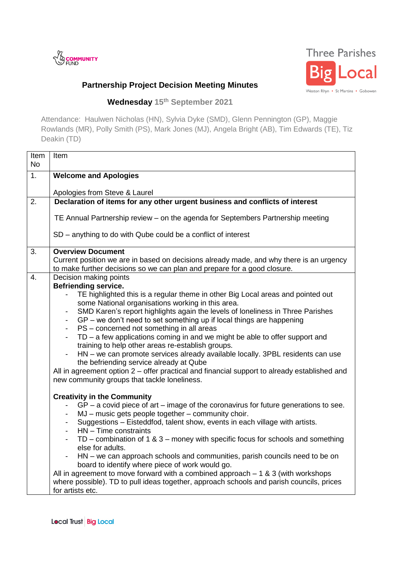



## **Partnership Project Decision Meeting Minutes**

**Wednesday 15th September 2021**

Attendance: Haulwen Nicholas (HN), Sylvia Dyke (SMD), Glenn Pennington (GP), Maggie Rowlands (MR), Polly Smith (PS), Mark Jones (MJ), Angela Bright (AB), Tim Edwards (TE), Tiz Deakin (TD)

| Item<br><b>No</b> | Item                                                                                                                                                                |
|-------------------|---------------------------------------------------------------------------------------------------------------------------------------------------------------------|
| 1.                | <b>Welcome and Apologies</b>                                                                                                                                        |
|                   | Apologies from Steve & Laurel                                                                                                                                       |
| 2.                | Declaration of items for any other urgent business and conflicts of interest                                                                                        |
|                   | TE Annual Partnership review - on the agenda for Septembers Partnership meeting                                                                                     |
|                   | SD – anything to do with Qube could be a conflict of interest                                                                                                       |
| 3.                | <b>Overview Document</b>                                                                                                                                            |
|                   | Current position we are in based on decisions already made, and why there is an urgency<br>to make further decisions so we can plan and prepare for a good closure. |
| 4.                | Decision making points                                                                                                                                              |
|                   | <b>Befriending service.</b>                                                                                                                                         |
|                   | TE highlighted this is a regular theme in other Big Local areas and pointed out<br>some National organisations working in this area.                                |
|                   | SMD Karen's report highlights again the levels of loneliness in Three Parishes                                                                                      |
|                   | GP – we don't need to set something up if local things are happening<br>$\sim$                                                                                      |
|                   | PS - concerned not something in all areas<br>$\blacksquare$                                                                                                         |
|                   | $TD - a$ few applications coming in and we might be able to offer support and                                                                                       |
|                   | training to help other areas re-establish groups.<br>HN - we can promote services already available locally. 3PBL residents can use                                 |
|                   | the befriending service already at Qube                                                                                                                             |
|                   | All in agreement option 2 – offer practical and financial support to already established and                                                                        |
|                   | new community groups that tackle loneliness.                                                                                                                        |
|                   | <b>Creativity in the Community</b>                                                                                                                                  |
|                   | $GP - a$ covid piece of art $-$ image of the coronavirus for future generations to see.                                                                             |
|                   | MJ - music gets people together - community choir.<br>$\blacksquare$                                                                                                |
|                   | Suggestions - Eisteddfod, talent show, events in each village with artists.<br>$\sim$<br>HN - Time constraints<br>$\blacksquare$                                    |
|                   | TD – combination of 1 & 3 – money with specific focus for schools and something<br>$\blacksquare$                                                                   |
|                   | else for adults.                                                                                                                                                    |
|                   | HN – we can approach schools and communities, parish councils need to be on<br>board to identify where piece of work would go.                                      |
|                   | All in agreement to move forward with a combined approach $-1$ & 3 (with workshops                                                                                  |
|                   | where possible). TD to pull ideas together, approach schools and parish councils, prices                                                                            |
|                   | for artists etc.                                                                                                                                                    |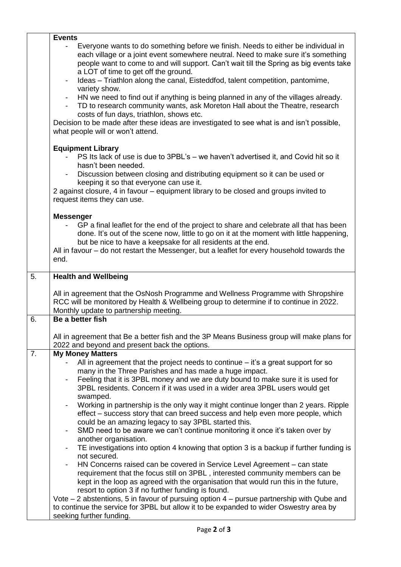|    | <b>Events</b>                                                                                                                                                                                                                                                                                            |
|----|----------------------------------------------------------------------------------------------------------------------------------------------------------------------------------------------------------------------------------------------------------------------------------------------------------|
|    | Everyone wants to do something before we finish. Needs to either be individual in<br>each village or a joint event somewhere neutral. Need to make sure it's something<br>people want to come to and will support. Can't wait till the Spring as big events take<br>a LOT of time to get off the ground. |
|    | Ideas – Triathlon along the canal, Eisteddfod, talent competition, pantomime,<br>variety show.                                                                                                                                                                                                           |
|    | HN we need to find out if anything is being planned in any of the villages already.<br>TD to research community wants, ask Moreton Hall about the Theatre, research<br>costs of fun days, triathlon, shows etc.                                                                                          |
|    | Decision to be made after these ideas are investigated to see what is and isn't possible,<br>what people will or won't attend.                                                                                                                                                                           |
|    | <b>Equipment Library</b><br>PS Its lack of use is due to 3PBL's – we haven't advertised it, and Covid hit so it<br>hasn't been needed.<br>Discussion between closing and distributing equipment so it can be used or                                                                                     |
|    | keeping it so that everyone can use it.                                                                                                                                                                                                                                                                  |
|    | 2 against closure, 4 in favour – equipment library to be closed and groups invited to<br>request items they can use.                                                                                                                                                                                     |
|    | <b>Messenger</b>                                                                                                                                                                                                                                                                                         |
|    | GP a final leaflet for the end of the project to share and celebrate all that has been<br>done. It's out of the scene now, little to go on it at the moment with little happening,<br>but be nice to have a keepsake for all residents at the end.                                                       |
|    | All in favour – do not restart the Messenger, but a leaflet for every household towards the<br>end.                                                                                                                                                                                                      |
| 5. | <b>Health and Wellbeing</b>                                                                                                                                                                                                                                                                              |
|    | All in agreement that the OsNosh Programme and Wellness Programme with Shropshire<br>RCC will be monitored by Health & Wellbeing group to determine if to continue in 2022.<br>Monthly update to partnership meeting.                                                                                    |
| 6. | Be a better fish                                                                                                                                                                                                                                                                                         |
|    | All in agreement that Be a better fish and the 3P Means Business group will make plans for<br>2022 and beyond and present back the options.                                                                                                                                                              |
| 7. | <b>My Money Matters</b>                                                                                                                                                                                                                                                                                  |
|    | All in agreement that the project needs to continue $-$ it's a great support for so<br>many in the Three Parishes and has made a huge impact.                                                                                                                                                            |
|    | Feeling that it is 3PBL money and we are duty bound to make sure it is used for                                                                                                                                                                                                                          |
|    | 3PBL residents. Concern if it was used in a wider area 3PBL users would get<br>swamped.                                                                                                                                                                                                                  |
|    | Working in partnership is the only way it might continue longer than 2 years. Ripple<br>effect – success story that can breed success and help even more people, which<br>could be an amazing legacy to say 3PBL started this.                                                                           |
|    | SMD need to be aware we can't continue monitoring it once it's taken over by                                                                                                                                                                                                                             |
|    | another organisation.<br>TE investigations into option 4 knowing that option 3 is a backup if further funding is                                                                                                                                                                                         |
|    | not secured.<br>HN Concerns raised can be covered in Service Level Agreement – can state                                                                                                                                                                                                                 |
|    | requirement that the focus still on 3PBL, interested community members can be<br>kept in the loop as agreed with the organisation that would run this in the future,<br>resort to option 3 if no further funding is found.                                                                               |
|    | Vote $-$ 2 abstentions, 5 in favour of pursuing option $4$ – pursue partnership with Qube and<br>to continue the service for 3PBL but allow it to be expanded to wider Oswestry area by                                                                                                                  |
|    | seeking further funding.                                                                                                                                                                                                                                                                                 |